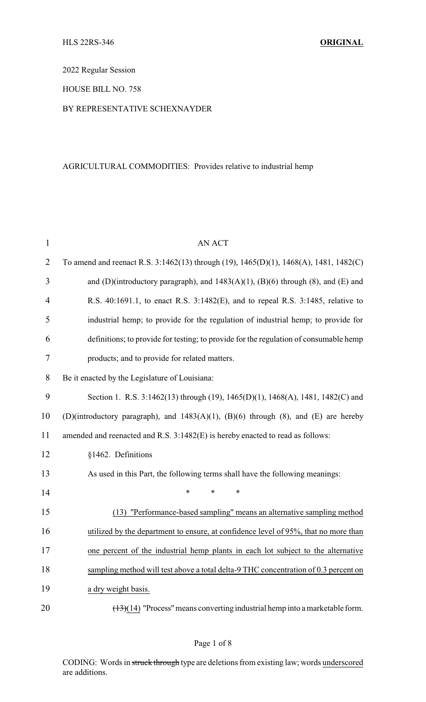2022 Regular Session

HOUSE BILL NO. 758

#### BY REPRESENTATIVE SCHEXNAYDER

### AGRICULTURAL COMMODITIES: Provides relative to industrial hemp

| $\mathbf{1}$   | <b>AN ACT</b>                                                                          |
|----------------|----------------------------------------------------------------------------------------|
| $\overline{2}$ | To amend and reenact R.S. 3:1462(13) through (19), 1465(D)(1), 1468(A), 1481, 1482(C)  |
| 3              | and (D)(introductory paragraph), and $1483(A)(1)$ , (B)(6) through (8), and (E) and    |
| 4              | R.S. 40:1691.1, to enact R.S. 3:1482(E), and to repeal R.S. 3:1485, relative to        |
| 5              | industrial hemp; to provide for the regulation of industrial hemp; to provide for      |
| 6              | definitions; to provide for testing; to provide for the regulation of consumable hemp  |
| 7              | products; and to provide for related matters.                                          |
| 8              | Be it enacted by the Legislature of Louisiana:                                         |
| 9              | Section 1. R.S. 3:1462(13) through (19), 1465(D)(1), 1468(A), 1481, 1482(C) and        |
| 10             | (D)(introductory paragraph), and $1483(A)(1)$ , (B)(6) through (8), and (E) are hereby |
| 11             | amended and reenacted and R.S. 3:1482(E) is hereby enacted to read as follows:         |
| 12             | §1462. Definitions                                                                     |
| 13             | As used in this Part, the following terms shall have the following meanings:           |
| 14             | *<br>*<br>*                                                                            |
| 15             | (13) "Performance-based sampling" means an alternative sampling method                 |
| 16             | utilized by the department to ensure, at confidence level of 95%, that no more than    |
| 17             | one percent of the industrial hemp plants in each lot subject to the alternative       |
| 18             | sampling method will test above a total delta-9 THC concentration of 0.3 percent on    |
| 19             | a dry weight basis.                                                                    |
| 20             | $(13)(14)$ "Process" means converting industrial hemp into a marketable form.          |

CODING: Words in struck through type are deletions from existing law; words underscored are additions.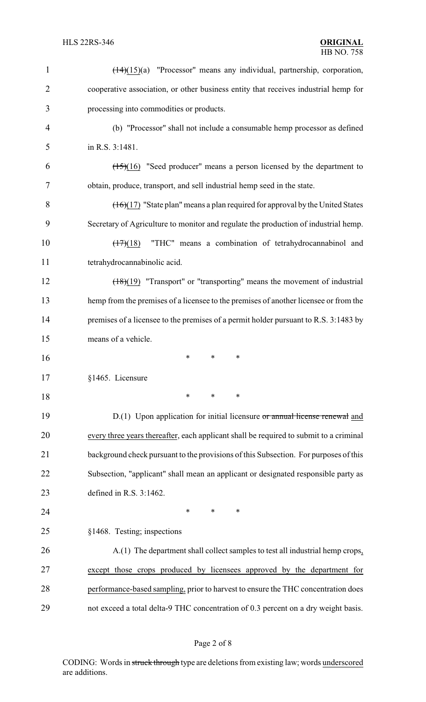| $\mathbf{1}$   | $(\frac{14}{15})(a)$ "Processor" means any individual, partnership, corporation,                  |
|----------------|---------------------------------------------------------------------------------------------------|
| $\overline{2}$ | cooperative association, or other business entity that receives industrial hemp for               |
| 3              | processing into commodities or products.                                                          |
| $\overline{4}$ | (b) "Processor" shall not include a consumable hemp processor as defined                          |
| 5              | in R.S. 3:1481.                                                                                   |
| 6              | $(15)(16)$ "Seed producer" means a person licensed by the department to                           |
| 7              | obtain, produce, transport, and sell industrial hemp seed in the state.                           |
| 8              | $\left(\frac{16}{17}\right)$ "State plan" means a plan required for approval by the United States |
| 9              | Secretary of Agriculture to monitor and regulate the production of industrial hemp.               |
| 10             | "THC" means a combination of tetrahydrocannabinol and<br>$\left(\frac{17}{2}\right)$ (18)         |
| 11             | tetrahydrocannabinolic acid.                                                                      |
| 12             | $\frac{18(19)}{18(19)}$ "Transport" or "transporting" means the movement of industrial            |
| 13             | hemp from the premises of a licensee to the premises of another licensee or from the              |
| 14             | premises of a licensee to the premises of a permit holder pursuant to R.S. 3:1483 by              |
| 15             | means of a vehicle.                                                                               |
| 16             | $\ast$<br>∗<br>∗                                                                                  |
| 17             | §1465. Licensure                                                                                  |
| 18             | $\ast$<br>∗<br>*                                                                                  |
| 19             | $D(1)$ Upon application for initial licensure or annual license renewal and                       |
| 20             | every three years thereafter, each applicant shall be required to submit to a criminal            |
| 21             | background check pursuant to the provisions of this Subsection. For purposes of this              |
| 22             | Subsection, "applicant" shall mean an applicant or designated responsible party as                |
| 23             | defined in R.S. $3:1462$ .                                                                        |
| 24             | $\ast$<br>∗<br>∗                                                                                  |
| 25             | §1468. Testing; inspections                                                                       |
| 26             | A.(1) The department shall collect samples to test all industrial hemp crops,                     |
| 27             | except those crops produced by licensees approved by the department for                           |
| 28             | performance-based sampling, prior to harvest to ensure the THC concentration does                 |
| 29             | not exceed a total delta-9 THC concentration of 0.3 percent on a dry weight basis.                |

# Page 2 of 8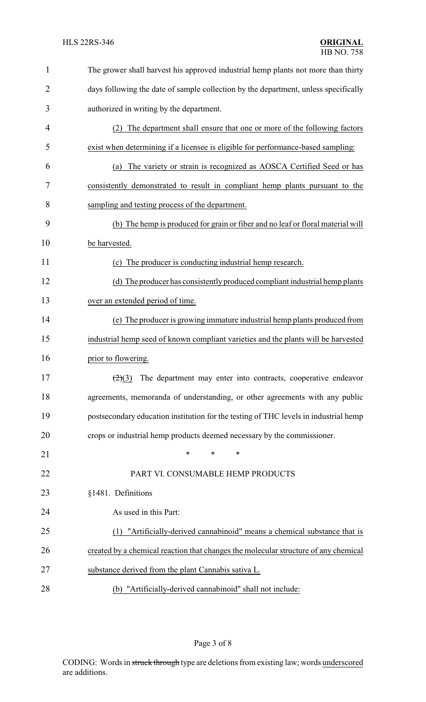| $\mathbf{1}$   | The grower shall harvest his approved industrial hemp plants not more than thirty    |
|----------------|--------------------------------------------------------------------------------------|
| $\overline{2}$ | days following the date of sample collection by the department, unless specifically  |
| 3              | authorized in writing by the department.                                             |
| 4              | The department shall ensure that one or more of the following factors<br>(2)         |
| 5              | exist when determining if a licensee is eligible for performance-based sampling:     |
| 6              | The variety or strain is recognized as AOSCA Certified Seed or has<br>(a)            |
| 7              | consistently demonstrated to result in compliant hemp plants pursuant to the         |
| 8              | sampling and testing process of the department.                                      |
| 9              | (b) The hemp is produced for grain or fiber and no leaf or floral material will      |
| 10             | be harvested.                                                                        |
| 11             | The producer is conducting industrial hemp research.<br>(c)                          |
| 12             | (d) The producer has consistently produced compliant industrial hemp plants          |
| 13             | over an extended period of time.                                                     |
| 14             | (e) The producer is growing immature industrial hemp plants produced from            |
| 15             | industrial hemp seed of known compliant varieties and the plants will be harvested   |
| 16             | prior to flowering.                                                                  |
| 17             | The department may enter into contracts, cooperative endeavor<br>(2)(3)              |
| 18             | agreements, memoranda of understanding, or other agreements with any public          |
| 19             | postsecondary education institution for the testing of THC levels in industrial hemp |
| 20             | crops or industrial hemp products deemed necessary by the commissioner.              |
| 21             | $\ast$<br>*<br>*                                                                     |
| 22             | PART VI. CONSUMABLE HEMP PRODUCTS                                                    |
| 23             | §1481. Definitions                                                                   |
| 24             | As used in this Part:                                                                |
| 25             | "Artificially-derived cannabinoid" means a chemical substance that is                |
| 26             | created by a chemical reaction that changes the molecular structure of any chemical  |
| 27             | substance derived from the plant Cannabis sativa L.                                  |
| 28             | (b) "Artificially-derived cannabinoid" shall not include:                            |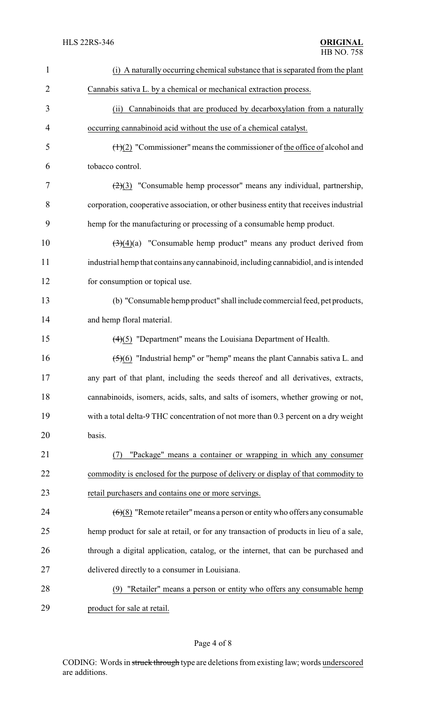| $\mathbf{1}$   | (i) A naturally occurring chemical substance that is separated from the plant                 |
|----------------|-----------------------------------------------------------------------------------------------|
| $\overline{2}$ | Cannabis sativa L. by a chemical or mechanical extraction process.                            |
| 3              | Cannabinoids that are produced by decarboxylation from a naturally<br>(ii)                    |
| 4              | occurring cannabinoid acid without the use of a chemical catalyst.                            |
| 5              | $\left(\frac{H}{2}\right)$ "Commissioner" means the commissioner of the office of alcohol and |
| 6              | tobacco control.                                                                              |
| 7              | $\left(\frac{2}{3}\right)$ "Consumable hemp processor" means any individual, partnership,     |
| 8              | corporation, cooperative association, or other business entity that receives industrial       |
| 9              | hemp for the manufacturing or processing of a consumable hemp product.                        |
| 10             | $\left(\frac{3}{2}\right)(4)$ "Consumable hemp product" means any product derived from        |
| 11             | industrial hemp that contains any cannabinoid, including cannabidiol, and is intended         |
| 12             | for consumption or topical use.                                                               |
| 13             | (b) "Consumable hemp product" shall include commercial feed, pet products,                    |
| 14             | and hemp floral material.                                                                     |
| 15             | $(4)(5)$ "Department" means the Louisiana Department of Health.                               |
| 16             | $\left(\frac{5}{6}\right)$ "Industrial hemp" or "hemp" means the plant Cannabis sativa L. and |
| 17             | any part of that plant, including the seeds thereof and all derivatives, extracts,            |
| 18             | cannabinoids, isomers, acids, salts, and salts of isomers, whether growing or not,            |
| 19             | with a total delta-9 THC concentration of not more than 0.3 percent on a dry weight           |
| 20             | basis.                                                                                        |
| 21             | "Package" means a container or wrapping in which any consumer                                 |
| 22             | commodity is enclosed for the purpose of delivery or display of that commodity to             |
| 23             | retail purchasers and contains one or more servings.                                          |
| 24             | $(6)(8)$ "Remote retailer" means a person or entity who offers any consumable                 |
| 25             | hemp product for sale at retail, or for any transaction of products in lieu of a sale,        |
| 26             | through a digital application, catalog, or the internet, that can be purchased and            |
| 27             | delivered directly to a consumer in Louisiana.                                                |
| 28             | "Retailer" means a person or entity who offers any consumable hemp<br>(9)                     |
| 29             | product for sale at retail.                                                                   |

Page 4 of 8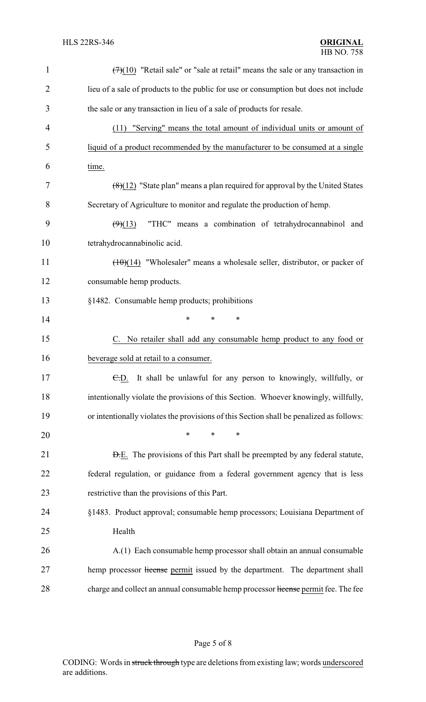| $\mathbf{1}$   | $(7)(10)$ "Retail sale" or "sale at retail" means the sale or any transaction in        |
|----------------|-----------------------------------------------------------------------------------------|
| $\overline{2}$ | lieu of a sale of products to the public for use or consumption but does not include    |
| 3              | the sale or any transaction in lieu of a sale of products for resale.                   |
| 4              | "Serving" means the total amount of individual units or amount of<br>(11)               |
| 5              | liquid of a product recommended by the manufacturer to be consumed at a single          |
| 6              | time.                                                                                   |
| 7              | $(8)(12)$ "State plan" means a plan required for approval by the United States          |
| 8              | Secretary of Agriculture to monitor and regulate the production of hemp.                |
| 9              | "THC" means a combination of tetrahydrocannabinol and<br>(9)(13)                        |
| 10             | tetrahydrocannabinolic acid.                                                            |
| 11             | $(10)(14)$ "Wholesaler" means a wholesale seller, distributor, or packer of             |
| 12             | consumable hemp products.                                                               |
| 13             | §1482. Consumable hemp products; prohibitions                                           |
| 14             | *<br>$\ast$<br>$\ast$                                                                   |
| 15             | C. No retailer shall add any consumable hemp product to any food or                     |
| 16             | beverage sold at retail to a consumer.                                                  |
| 17             | $E.D.$ It shall be unlawful for any person to knowingly, willfully, or                  |
| 18             | intentionally violate the provisions of this Section. Whoever knowingly, willfully,     |
| 19             | or intentionally violates the provisions of this Section shall be penalized as follows: |
| 20             | *<br>$\ast$<br>∗                                                                        |
| 21             | <b>D.E.</b> The provisions of this Part shall be preempted by any federal statute,      |
| 22             | federal regulation, or guidance from a federal government agency that is less           |
| 23             | restrictive than the provisions of this Part.                                           |
| 24             | §1483. Product approval; consumable hemp processors; Louisiana Department of            |
| 25             | Health                                                                                  |
| 26             | A.(1) Each consumable hemp processor shall obtain an annual consumable                  |
| 27             | hemp processor license permit issued by the department. The department shall            |
| 28             | charge and collect an annual consumable hemp processor license permit fee. The fee      |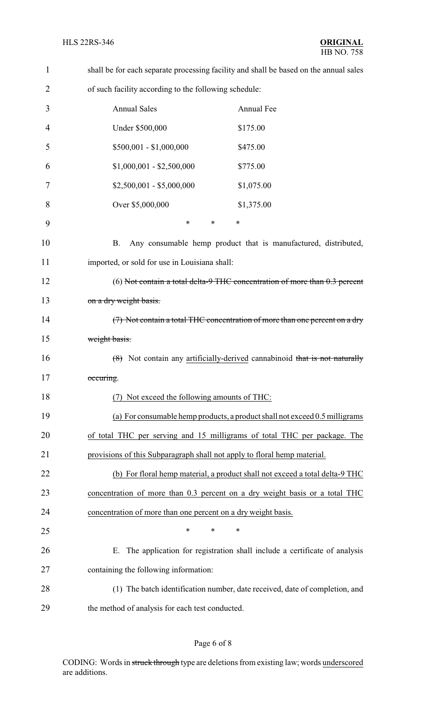| $\mathbf{1}$   | shall be for each separate processing facility and shall be based on the annual sales |
|----------------|---------------------------------------------------------------------------------------|
| $\overline{2}$ | of such facility according to the following schedule:                                 |
| 3              | <b>Annual Sales</b><br>Annual Fee                                                     |
| $\overline{4}$ | Under \$500,000<br>\$175.00                                                           |
| 5              | $$500,001 - $1,000,000$<br>\$475.00                                                   |
| 6              | $$1,000,001 - $2,500,000$<br>\$775.00                                                 |
| 7              | $$2,500,001 - $5,000,000$<br>\$1,075.00                                               |
| 8              | Over \$5,000,000<br>\$1,375.00                                                        |
| 9              | $\ast$<br>$\ast$<br>$\ast$                                                            |
| 10             | Any consumable hemp product that is manufactured, distributed,<br>B.                  |
| 11             | imported, or sold for use in Louisiana shall:                                         |
| 12             | (6) Not contain a total delta-9 THC concentration of more than $0.3$ percent          |
| 13             | on a dry weight basis.                                                                |
| 14             | (7) Not contain a total THC concentration of more than one percent on a dry           |
| 15             | weight basis.                                                                         |
| 16             | $(8)$ Not contain any artificially-derived cannabinoid that is not naturally          |
| 17             | occuring.                                                                             |
| 18             | Not exceed the following amounts of THC:                                              |
| 19             | (a) For consumable hemp products, a product shall not exceed 0.5 milligrams           |
| 20             | of total THC per serving and 15 milligrams of total THC per package. The              |
| 21             | provisions of this Subparagraph shall not apply to floral hemp material.              |
| 22             | (b) For floral hemp material, a product shall not exceed a total delta-9 THC          |
| 23             | concentration of more than 0.3 percent on a dry weight basis or a total THC           |
| 24             | concentration of more than one percent on a dry weight basis.                         |
| 25             | $\ast$<br>*<br>*                                                                      |
| 26             | The application for registration shall include a certificate of analysis<br>Ε.        |
| 27             | containing the following information:                                                 |
| 28             | (1) The batch identification number, date received, date of completion, and           |
| 29             | the method of analysis for each test conducted.                                       |

# Page 6 of 8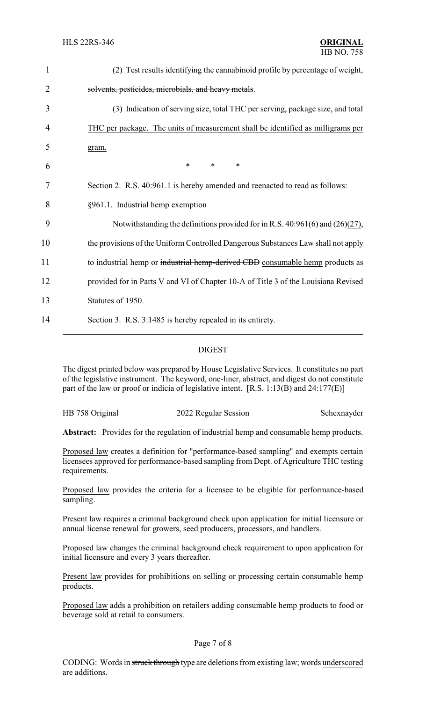| $\mathbf{1}$   | (2) Test results identifying the cannabinoid profile by percentage of weight,      |
|----------------|------------------------------------------------------------------------------------|
| $\overline{2}$ | solvents, pesticides, microbials, and heavy metals.                                |
| 3              | (3) Indication of serving size, total THC per serving, package size, and total     |
| 4              | THC per package. The units of measurement shall be identified as milligrams per    |
| 5              | gram.                                                                              |
| 6              | $\ast$<br>$\ast$<br>$\ast$                                                         |
| 7              | Section 2. R.S. 40:961.1 is hereby amended and reenacted to read as follows:       |
| 8              | §961.1. Industrial hemp exemption                                                  |
| 9              | Notwithstanding the definitions provided for in R.S. 40:961(6) and $(26)(27)$ ,    |
| 10             | the provisions of the Uniform Controlled Dangerous Substances Law shall not apply  |
| 11             | to industrial hemp or industrial hemp-derived CBD consumable hemp products as      |
| 12             | provided for in Parts V and VI of Chapter 10-A of Title 3 of the Louisiana Revised |
| 13             | Statutes of 1950.                                                                  |
| 14             | Section 3. R.S. 3:1485 is hereby repealed in its entirety.                         |
|                |                                                                                    |

#### DIGEST

The digest printed below was prepared by House Legislative Services. It constitutes no part of the legislative instrument. The keyword, one-liner, abstract, and digest do not constitute part of the law or proof or indicia of legislative intent. [R.S. 1:13(B) and 24:177(E)]

HB 758 Original 2022 Regular Session Schexnayder

Abstract: Provides for the regulation of industrial hemp and consumable hemp products.

Proposed law creates a definition for "performance-based sampling" and exempts certain licensees approved for performance-based sampling from Dept. of Agriculture THC testing requirements.

Proposed law provides the criteria for a licensee to be eligible for performance-based sampling.

Present law requires a criminal background check upon application for initial licensure or annual license renewal for growers, seed producers, processors, and handlers.

Proposed law changes the criminal background check requirement to upon application for initial licensure and every 3 years thereafter.

Present law provides for prohibitions on selling or processing certain consumable hemp products.

Proposed law adds a prohibition on retailers adding consumable hemp products to food or beverage sold at retail to consumers.